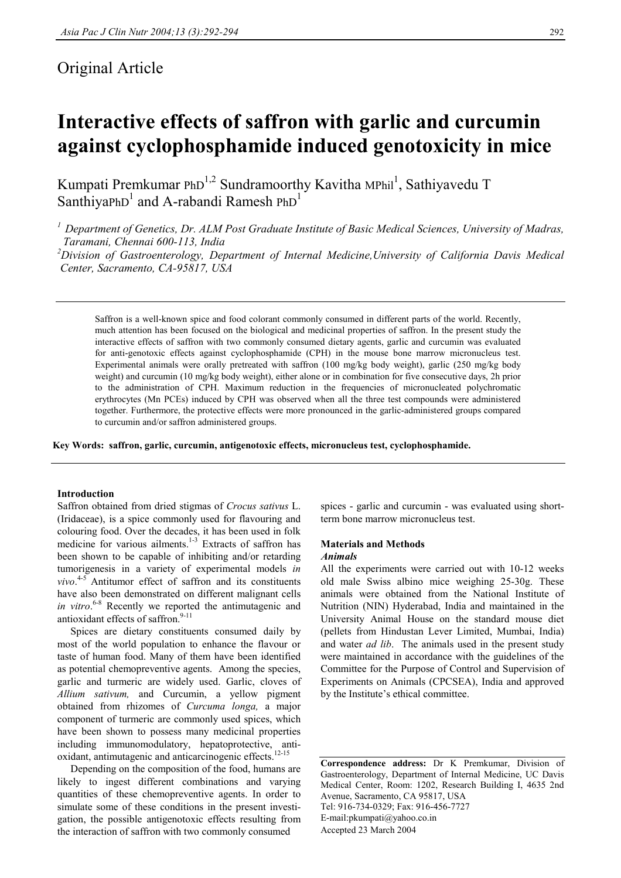# Original Article

# **Interactive effects of saffron with garlic and curcumin against cyclophosphamide induced genotoxicity in mice**

Kumpati Premkumar PhD<sup>1,2</sup> Sundramoorthy Kavitha MPhil<sup>1</sup>, Sathiyavedu T SanthiyaPhD<sup>1</sup> and A-rabandi Ramesh PhD<sup>1</sup>

*1 Department of Genetics, Dr. ALM Post Graduate Institute of Basic Medical Sciences, University of Madras, Taramani, Chennai 600-113, India* 

*2 Division of Gastroenterology, Department of Internal Medicine,University of California Davis Medical Center, Sacramento, CA-95817, USA* 

Saffron is a well-known spice and food colorant commonly consumed in different parts of the world. Recently, much attention has been focused on the biological and medicinal properties of saffron. In the present study the interactive effects of saffron with two commonly consumed dietary agents, garlic and curcumin was evaluated for anti-genotoxic effects against cyclophosphamide (CPH) in the mouse bone marrow micronucleus test. Experimental animals were orally pretreated with saffron (100 mg/kg body weight), garlic (250 mg/kg body weight) and curcumin (10 mg/kg body weight), either alone or in combination for five consecutive days, 2h prior to the administration of CPH. Maximum reduction in the frequencies of micronucleated polychromatic erythrocytes (Mn PCEs) induced by CPH was observed when all the three test compounds were administered together. Furthermore, the protective effects were more pronounced in the garlic-administered groups compared to curcumin and/or saffron administered groups.

**Key Words: saffron, garlic, curcumin, antigenotoxic effects, micronucleus test, cyclophosphamide.** 

### **Introduction**

Saffron obtained from dried stigmas of *Crocus sativus* L. (Iridaceae), is a spice commonly used for flavouring and colouring food. Over the decades, it has been used in folk medicine for various ailments.<sup>1-3</sup> Extracts of saffron has been shown to be capable of inhibiting and/or retarding tumorigenesis in a variety of experimental models *in vivo*. 4-5 Antitumor effect of saffron and its constituents have also been demonstrated on different malignant cells *in vitro*. 6-8 Recently we reported the antimutagenic and antioxidant effects of saffron. $9-11$ 

 Spices are dietary constituents consumed daily by most of the world population to enhance the flavour or taste of human food. Many of them have been identified as potential chemopreventive agents. Among the species, garlic and turmeric are widely used. Garlic, cloves of *Allium sativum,* and Curcumin, a yellow pigment obtained from rhizomes of *Curcuma longa,* a major component of turmeric are commonly used spices, which have been shown to possess many medicinal properties including immunomodulatory, hepatoprotective, antioxidant, antimutagenic and anticarcinogenic effects.<sup>12-15</sup>

 Depending on the composition of the food, humans are likely to ingest different combinations and varying quantities of these chemopreventive agents. In order to simulate some of these conditions in the present investigation, the possible antigenotoxic effects resulting from the interaction of saffron with two commonly consumed

spices - garlic and curcumin - was evaluated using shortterm bone marrow micronucleus test.

## **Materials and Methods**

## *Animals*

All the experiments were carried out with 10-12 weeks old male Swiss albino mice weighing 25-30g. These animals were obtained from the National Institute of Nutrition (NIN) Hyderabad, India and maintained in the University Animal House on the standard mouse diet (pellets from Hindustan Lever Limited, Mumbai, India) and water *ad lib*. The animals used in the present study were maintained in accordance with the guidelines of the Committee for the Purpose of Control and Supervision of Experiments on Animals (CPCSEA), India and approved by the Institute's ethical committee.

**Correspondence address:** Dr K Premkumar, Division of Gastroenterology, Department of Internal Medicine, UC Davis Medical Center, Room: 1202, Research Building I, 4635 2nd Avenue, Sacramento, CA 95817, USA Tel: 916-734-0329; Fax: 916-456-7727 E-mail:pkumpati@yahoo.co.in Accepted 23 March 2004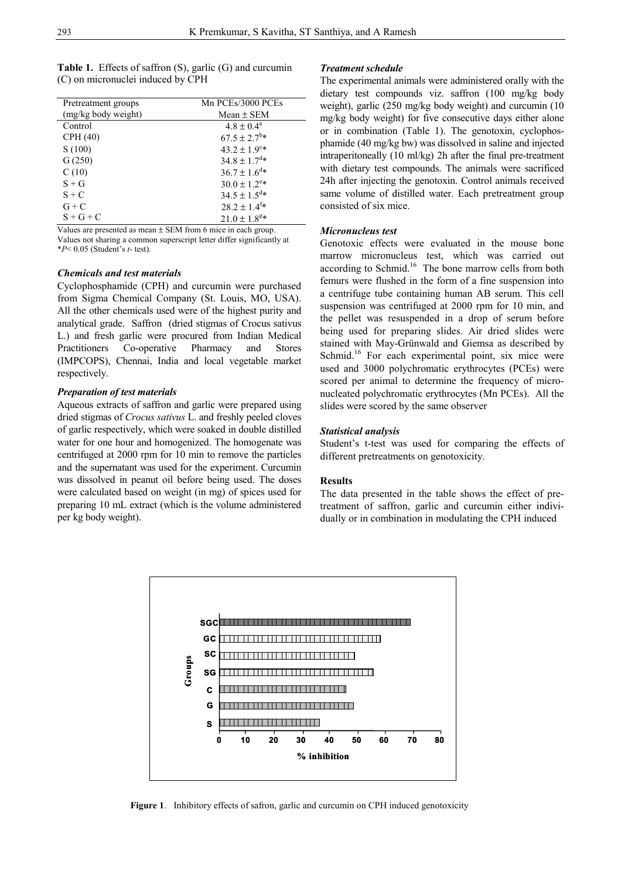| <b>Table 1.</b> Effects of saffron $(S)$ , garlic $(G)$ and curcumin |  |  |
|----------------------------------------------------------------------|--|--|
| (C) on micronuclei induced by CPH                                    |  |  |

| Pretreatment groups | Mn PCEs/3000 PCEs             |  |  |
|---------------------|-------------------------------|--|--|
| (mg/kg body weight) | Mean $\pm$ SEM                |  |  |
| Control             | $4.8 \pm 0.4^{\circ}$         |  |  |
| CPH (40)            | $67.5 \pm 2.7^{\rm b} *$      |  |  |
| S(100)              | $43.2 \pm 1.9$ <sup>c*</sup>  |  |  |
| G(250)              | $34.8 \pm 1.7$ <sup>d*</sup>  |  |  |
| C(10)               | $36.7 \pm 1.6^{\text{d}}*$    |  |  |
| $S + G$             | $30.0 \pm 1.2$ <sup>e*</sup>  |  |  |
| $S + C$             | $34.5 \pm 1.5$ <sup>d</sup> * |  |  |
| $G + C$             | $28.2 \pm 1.4$ <sup>f*</sup>  |  |  |
| $S + G + C$         | $21.0 \pm 1.8$ <sup>g*</sup>  |  |  |

Values are presented as mean  $\pm$  SEM from 6 mice in each group. Values not sharing a common superscript letter differ significantly at

\**P*< 0.05 (Student's *t*- test).

#### *Chemicals and test materials*

Cyclophosphamide (CPH) and curcumin were purchased from Sigma Chemical Company (St. Louis, MO, USA). All the other chemicals used were of the highest purity and analytical grade. Saffron (dried stigmas of Crocus sativus L.) and fresh garlic were procured from Indian Medical Practitioners Co-operative Pharmacy and Stores (IMPCOPS), Chennai, India and local vegetable market respectively.

#### *Preparation of test materials*

Aqueous extracts of saffron and garlic were prepared using dried stigmas of *Crocus sativus* L. and freshly peeled cloves of garlic respectively, which were soaked in double distilled water for one hour and homogenized. The homogenate was centrifuged at 2000 rpm for 10 min to remove the particles and the supernatant was used for the experiment. Curcumin was dissolved in peanut oil before being used. The doses were calculated based on weight (in mg) of spices used for preparing 10 mL extract (which is the volume administered per kg body weight).

#### *Treatment schedule*

The experimental animals were administered orally with the dietary test compounds viz. saffron (100 mg/kg body weight), garlic (250 mg/kg body weight) and curcumin (10 mg/kg body weight) for five consecutive days either alone or in combination (Table 1). The genotoxin, cyclophosphamide (40 mg/kg bw) was dissolved in saline and injected intraperitoneally (10 ml/kg) 2h after the final pre-treatment with dietary test compounds. The animals were sacrificed 24h after injecting the genotoxin. Control animals received same volume of distilled water. Each pretreatment group consisted of six mice.

#### *Micronucleus test*

Genotoxic effects were evaluated in the mouse bone marrow micronucleus test, which was carried out according to Schmid.<sup>16</sup> The bone marrow cells from both femurs were flushed in the form of a fine suspension into a centrifuge tube containing human AB serum. This cell suspension was centrifuged at 2000 rpm for 10 min, and the pellet was resuspended in a drop of serum before being used for preparing slides. Air dried slides were stained with May-Grünwald and Giemsa as described by Schmid.<sup>16</sup> For each experimental point, six mice were used and 3000 polychromatic erythrocytes (PCEs) were scored per animal to determine the frequency of micronucleated polychromatic erythrocytes (Mn PCEs). All the slides were scored by the same observer

#### *Statistical analysis*

Student's t-test was used for comparing the effects of different pretreatments on genotoxicity.

#### **Results**

The data presented in the table shows the effect of pretreatment of saffron, garlic and curcumin either individually or in combination in modulating the CPH induced



**Figure 1**. Inhibitory effects of safron, garlic and curcumin on CPH induced genotoxicity